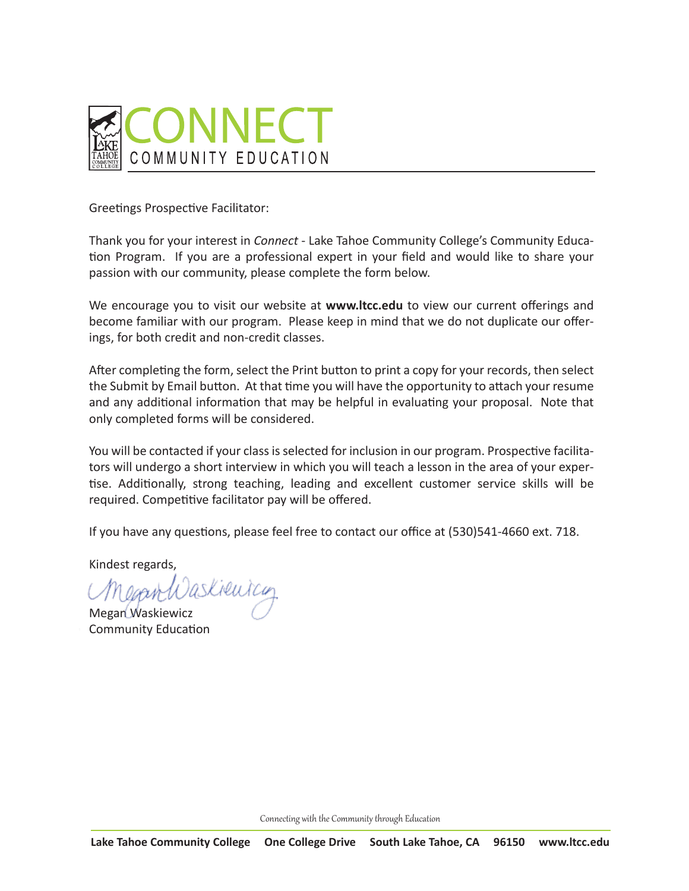

Greetings Prospective Facilitator:

Thank you for your interest in *Connect* - Lake Tahoe Community College's Community Education Program. If you are a professional expert in your field and would like to share your passion with our community, please complete the form below.

We encourage you to visit our website at **www.ltcc.edu** to view our current offerings and become familiar with our program. Please keep in mind that we do not duplicate our offerings, for both credit and non-credit classes.

After completing the form, select the Print button to print a copy for your records, then select the Submit by Email button. At that time you will have the opportunity to attach your resume and any additional information that may be helpful in evaluating your proposal. Note that only completed forms will be considered.

You will be contacted if your class is selected for inclusion in our program. Prospective facilitators will undergo a short interview in which you will teach a lesson in the area of your expertise. Additionally, strong teaching, leading and excellent customer service skills will be required. Competitive facilitator pay will be offered.

If you have any questions, please feel free to contact our office at (530)541-4660 ext. 718.

Kindest regards,

Megan Waskiewicz Community Education

Connecting with the Community through Education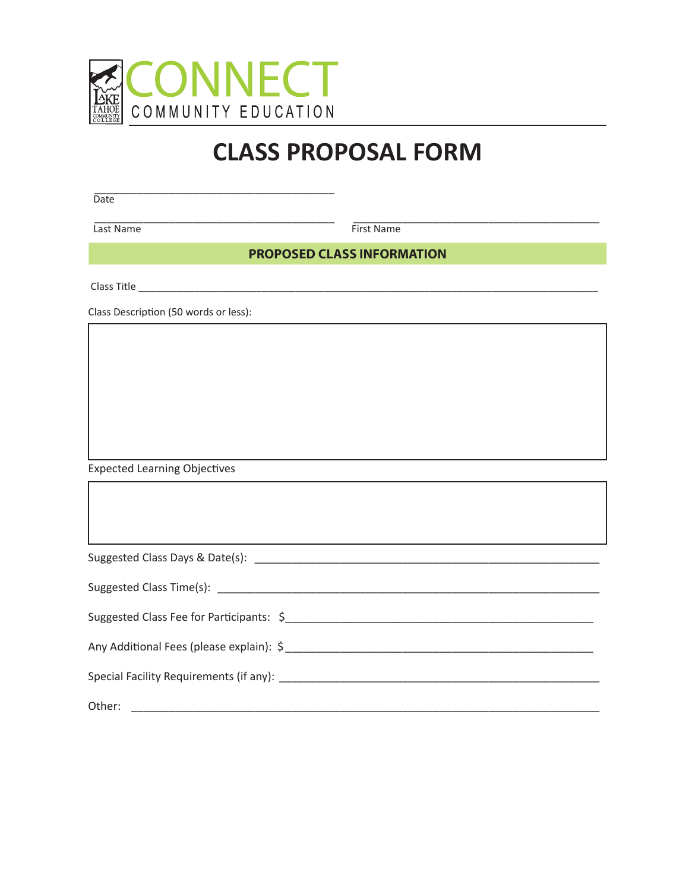

## **CLASS PROPOSAL FORM**

\_\_\_\_\_\_\_\_\_\_\_\_\_\_\_\_\_\_\_\_\_\_\_\_\_\_\_\_\_\_\_\_\_\_\_\_\_\_\_ Date

Last Name First Name

\_\_\_\_\_\_\_\_\_\_\_\_\_\_\_\_\_\_\_\_\_\_\_\_\_\_\_\_\_\_\_\_\_\_\_\_\_\_\_ \_\_\_\_\_\_\_\_\_\_\_\_\_\_\_\_\_\_\_\_\_\_\_\_\_\_\_\_\_\_\_\_\_\_\_\_\_\_\_\_

**PROPOSED CLASS INFORMATION**

Class Title \_\_\_\_\_\_\_\_\_\_\_\_\_\_\_\_\_\_\_\_\_\_\_\_\_\_\_\_\_\_\_\_\_\_\_\_\_\_\_\_\_\_\_\_\_\_\_\_\_\_\_\_\_\_\_\_\_\_\_\_\_\_\_\_\_\_\_\_\_\_\_\_\_\_\_\_\_\_\_\_\_\_

Class Description (50 words or less):

Expected Learning Objectives

| Any Additional Fees (please explain): \$ |
|------------------------------------------|
|                                          |
| Other:                                   |